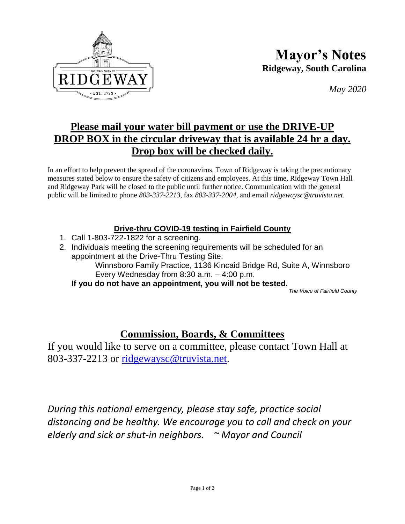

**Mayor's Notes Ridgeway, South Carolina**

*May 2020*

## **Please mail your water bill payment or use the DRIVE-UP DROP BOX in the circular driveway that is available 24 hr a day. Drop box will be checked daily.**

In an effort to help prevent the spread of the coronavirus, Town of Ridgeway is taking the precautionary measures stated below to ensure the safety of citizens and employees. At this time, Ridgeway Town Hall and Ridgeway Park will be closed to the public until further notice. Communication with the general public will be limited to phone *803-337-2213*, fax *803-337-2004*, and email *ridgewaysc@truvista.net*.

## **Drive-thru COVID-19 testing in Fairfield County**

- 1. Call 1-803-722-1822 for a screening.
- 2. Individuals meeting the screening requirements will be scheduled for an appointment at the Drive-Thru Testing Site:

Winnsboro Family Practice, 1136 Kincaid Bridge Rd, Suite A, Winnsboro Every Wednesday from 8:30 a.m. – 4:00 p.m.

**If you do not have an appointment, you will not be tested.** 

*The Voice of Fairfield County*

## **Commission, Boards, & Committees**

If you would like to serve on a committee, please contact Town Hall at 803-337-2213 or [ridgewaysc@truvista.net.](mailto:ridgewaysc@truvista.net)

*During this national emergency, please stay safe, practice social distancing and be healthy. We encourage you to call and check on your elderly and sick or shut-in neighbors. ~ Mayor and Council*